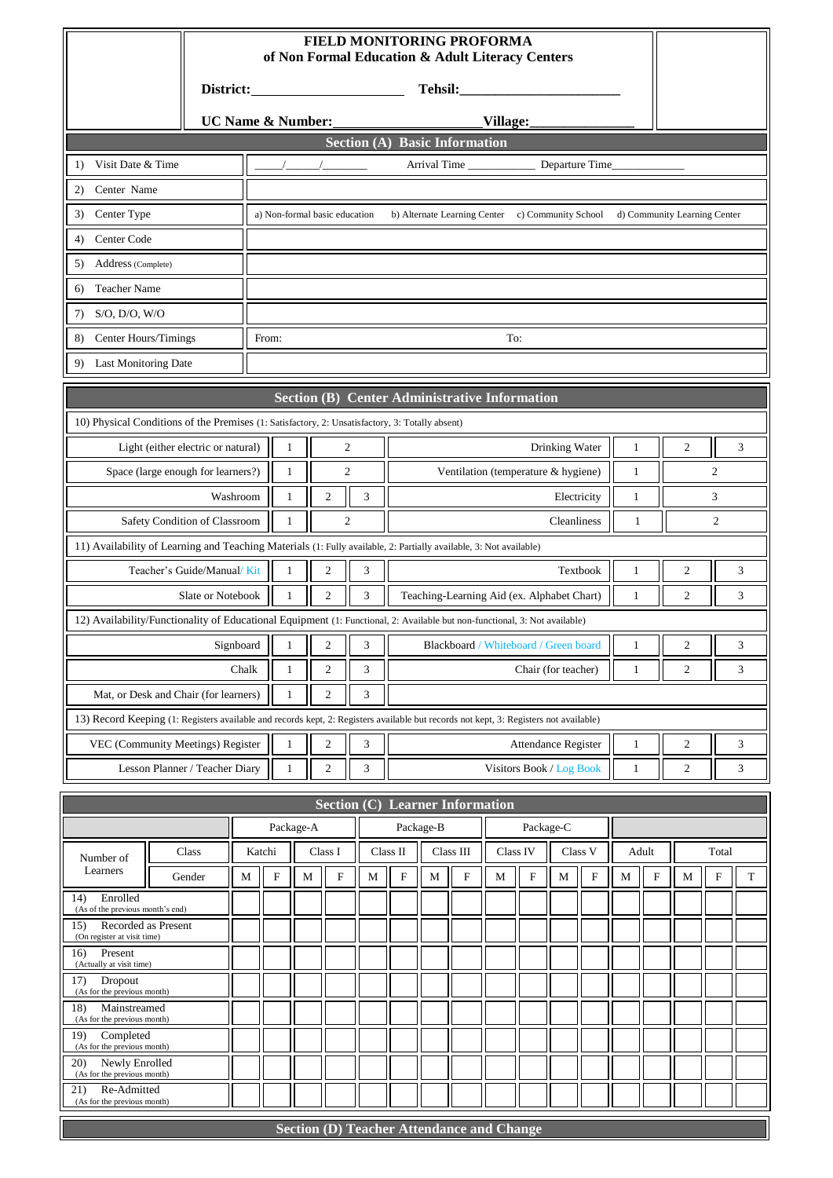|                                                                                                                                       | FIELD MONITORING PROFORMA<br>of Non Formal Education & Adult Literacy Centers |           |                           |             |                                                      |   |                                               |   |                                            |   |                           |                |                |              |           |                              |           |             |
|---------------------------------------------------------------------------------------------------------------------------------------|-------------------------------------------------------------------------------|-----------|---------------------------|-------------|------------------------------------------------------|---|-----------------------------------------------|---|--------------------------------------------|---|---------------------------|----------------|----------------|--------------|-----------|------------------------------|-----------|-------------|
|                                                                                                                                       |                                                                               |           |                           |             |                                                      |   |                                               |   |                                            |   |                           |                |                |              |           |                              |           |             |
| <b>UC Name &amp; Number:</b>                                                                                                          |                                                                               |           |                           |             | Village:                                             |   |                                               |   |                                            |   |                           |                |                |              |           |                              |           |             |
| <b>Section (A) Basic Information</b>                                                                                                  |                                                                               |           |                           |             |                                                      |   |                                               |   |                                            |   |                           |                |                |              |           |                              |           |             |
| Visit Date & Time<br>1)                                                                                                               |                                                                               |           |                           |             |                                                      |   |                                               |   | Arrival Time                               |   |                           |                | Departure Time |              |           |                              |           |             |
| Center Name<br>2)                                                                                                                     |                                                                               |           |                           |             |                                                      |   |                                               |   |                                            |   |                           |                |                |              |           |                              |           |             |
| Center Type<br>3)                                                                                                                     |                                                                               |           |                           |             | a) Non-formal basic education                        |   |                                               |   | b) Alternate Learning Center               |   | c) Community School       |                |                |              |           | d) Community Learning Center |           |             |
| Center Code<br>4)                                                                                                                     |                                                                               |           |                           |             |                                                      |   |                                               |   |                                            |   |                           |                |                |              |           |                              |           |             |
| Address (Complete)<br>5)                                                                                                              |                                                                               |           |                           |             |                                                      |   |                                               |   |                                            |   |                           |                |                |              |           |                              |           |             |
| <b>Teacher Name</b><br>6)                                                                                                             |                                                                               |           |                           |             |                                                      |   |                                               |   |                                            |   |                           |                |                |              |           |                              |           |             |
| S/O, D/O, W/O<br>7)                                                                                                                   |                                                                               |           |                           |             |                                                      |   |                                               |   |                                            |   |                           |                |                |              |           |                              |           |             |
| Center Hours/Timings<br>8)                                                                                                            |                                                                               |           | To:<br>From:              |             |                                                      |   |                                               |   |                                            |   |                           |                |                |              |           |                              |           |             |
| <b>Last Monitoring Date</b><br>9)                                                                                                     |                                                                               |           |                           |             |                                                      |   |                                               |   |                                            |   |                           |                |                |              |           |                              |           |             |
|                                                                                                                                       |                                                                               |           |                           |             | <b>Section (B) Center Administrative Information</b> |   |                                               |   |                                            |   |                           |                |                |              |           |                              |           |             |
| 10) Physical Conditions of the Premises (1: Satisfactory, 2: Unsatisfactory, 3: Totally absent)                                       |                                                                               |           |                           |             |                                                      |   |                                               |   |                                            |   |                           |                |                |              |           |                              |           |             |
| Light (either electric or natural)                                                                                                    |                                                                               |           | $\mathbf{1}$              |             | 2                                                    |   |                                               |   |                                            |   |                           | Drinking Water |                | $\mathbf{1}$ |           | $\overline{c}$               |           | 3           |
| Space (large enough for learners?)                                                                                                    |                                                                               |           | $\mathbf{1}$              |             | $\boldsymbol{2}$                                     |   |                                               |   | Ventilation (temperature & hygiene)        |   |                           |                |                | $\mathbf{1}$ |           |                              | 2         |             |
|                                                                                                                                       |                                                                               | Washroom  | $\mathbf{1}$              |             | 2                                                    | 3 |                                               |   |                                            |   |                           | Electricity    |                | 1            |           | 3                            |           |             |
| Safety Condition of Classroom                                                                                                         |                                                                               |           | $\mathbf{1}$              |             | 2                                                    |   | $\overline{c}$<br>Cleanliness<br>$\mathbf{1}$ |   |                                            |   |                           |                |                |              |           |                              |           |             |
| 11) Availability of Learning and Teaching Materials (1: Fully available, 2: Partially available, 3: Not available)                    |                                                                               |           |                           |             |                                                      |   |                                               |   |                                            |   |                           |                |                |              |           |                              |           |             |
| Teacher's Guide/Manual/Kit                                                                                                            |                                                                               |           | $\mathbf{1}$              |             | $\mathfrak{2}$                                       | 3 |                                               |   |                                            |   |                           |                | Textbook       | $\mathbf{1}$ |           | $\overline{c}$               |           | 3           |
|                                                                                                                                       | Slate or Notebook                                                             |           | $\mathbf{1}$              |             | $\mathfrak{2}$                                       | 3 |                                               |   | Teaching-Learning Aid (ex. Alphabet Chart) |   |                           |                |                | $\mathbf{1}$ |           | $\overline{c}$               |           | 3           |
| 12) Availability/Functionality of Educational Equipment (1: Functional, 2: Available but non-functional, 3: Not available)            |                                                                               |           |                           |             |                                                      |   |                                               |   |                                            |   |                           |                |                |              |           |                              |           |             |
|                                                                                                                                       |                                                                               | Signboard | 1                         |             | $\overline{c}$                                       | 3 |                                               |   | Blackboard / Whiteboard / Green board      |   |                           |                |                | $\mathbf{1}$ |           | $\overline{\mathbf{c}}$      |           | 3           |
|                                                                                                                                       |                                                                               | Chalk     | 1                         |             | $\mathfrak{2}$                                       | 3 |                                               |   |                                            |   | Chair (for teacher)       |                |                | 1            |           | $\overline{c}$               |           | 3           |
| Mat, or Desk and Chair (for learners)                                                                                                 |                                                                               |           | $\mathbf{1}$              |             | $\mathfrak{2}$                                       | 3 |                                               |   |                                            |   |                           |                |                |              |           |                              |           |             |
| 13) Record Keeping (1: Registers available and records kept, 2: Registers available but records not kept, 3: Registers not available) |                                                                               |           |                           |             |                                                      |   |                                               |   |                                            |   |                           |                |                |              |           |                              |           |             |
| VEC (Community Meetings) Register                                                                                                     |                                                                               |           | $\mathbf{1}$              |             | $\mathfrak{2}$                                       | 3 |                                               |   |                                            |   | Attendance Register       |                |                | $\mathbf{1}$ |           | $\mathfrak{2}$               |           | 3           |
| Lesson Planner / Teacher Diary                                                                                                        |                                                                               |           | $\mathbf{1}$              |             | $\overline{c}$                                       | 3 |                                               |   |                                            |   | Visitors Book / Log Book  |                |                | 1            |           | 2                            |           | 3           |
|                                                                                                                                       |                                                                               |           |                           |             | Section (C)                                          |   |                                               |   | <b>Learner Information</b>                 |   |                           |                |                |              |           |                              |           |             |
|                                                                                                                                       |                                                                               |           | Package-A                 |             |                                                      |   | Package-B<br>Package-C                        |   |                                            |   |                           |                |                |              |           |                              |           |             |
| Class<br>Number of                                                                                                                    |                                                                               |           | Katchi                    |             | Class I                                              |   | Class II                                      |   | Class III                                  |   | Class IV                  | Class V        |                | Adult        |           |                              | Total     |             |
| Learners                                                                                                                              | Gender                                                                        | М         | $\boldsymbol{\mathrm{F}}$ | $\mathbf M$ | $\boldsymbol{\mathrm{F}}$                            | M | ${\bf F}$                                     | M | ${\bf F}$                                  | M | $\boldsymbol{\mathrm{F}}$ | $\mathbf M$    | ${\bf F}$      | M            | ${\rm F}$ | M                            | ${\bf F}$ | $\mathbf T$ |
| Enrolled<br>14)<br>(As of the previous month's end)                                                                                   |                                                                               |           |                           |             |                                                      |   |                                               |   |                                            |   |                           |                |                |              |           |                              |           |             |
| Recorded as Present<br>15)<br>(On register at visit time)                                                                             |                                                                               |           |                           |             |                                                      |   |                                               |   |                                            |   |                           |                |                |              |           |                              |           |             |
| 16)<br>Present<br>(Actually at visit time)                                                                                            |                                                                               |           |                           |             |                                                      |   |                                               |   |                                            |   |                           |                |                |              |           |                              |           |             |
| Dropout<br>17)<br>(As for the previous month)                                                                                         |                                                                               |           |                           |             |                                                      |   |                                               |   |                                            |   |                           |                |                |              |           |                              |           |             |
| 18)<br>Mainstreamed                                                                                                                   |                                                                               |           |                           |             |                                                      |   |                                               |   |                                            |   |                           |                |                |              |           |                              |           |             |
| (As for the previous month)<br>19)<br>Completed                                                                                       |                                                                               |           |                           |             |                                                      |   |                                               |   |                                            |   |                           |                |                |              |           |                              |           |             |
| (As for the previous month)<br>Newly Enrolled<br>20)<br>(As for the previous month)                                                   |                                                                               |           |                           |             |                                                      |   |                                               |   |                                            |   |                           |                |                |              |           |                              |           |             |

|  | <b>Section (D) Teacher Attendance and Change</b> |
|--|--------------------------------------------------|
|  |                                                  |

21) Re-Admitted (As for the previous month)